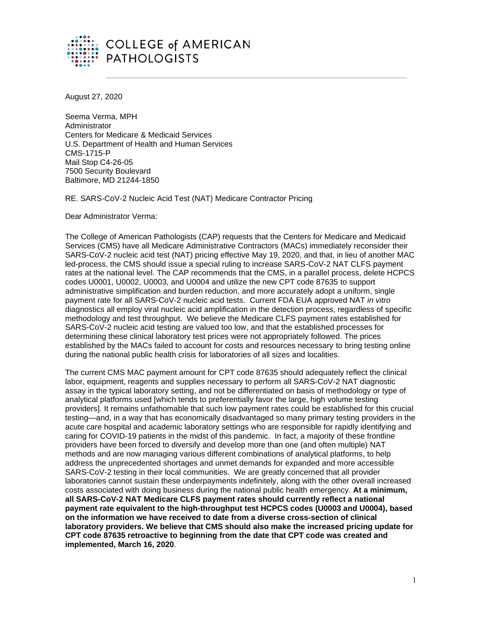

August 27, 2020

Seema Verma, MPH Administrator Centers for Medicare & Medicaid Services U.S. Department of Health and Human Services CMS-1715-P Mail Stop C4-26-05 7500 Security Boulevard Baltimore, MD 21244-1850

RE. SARS-CoV-2 Nucleic Acid Test (NAT) Medicare Contractor Pricing

Dear Administrator Verma:

The College of American Pathologists (CAP) requests that the Centers for Medicare and Medicaid Services (CMS) have all Medicare Administrative Contractors (MACs) immediately reconsider their SARS-CoV-2 nucleic acid test (NAT) pricing effective May 19, 2020, and that, in lieu of another MAC led-process, the CMS should issue a special ruling to increase SARS-CoV-2 NAT CLFS payment rates at the national level. The CAP recommends that the CMS, in a parallel process, delete HCPCS codes U0001, U0002, U0003, and U0004 and utilize the new CPT code 87635 to support administrative simplification and burden reduction, and more accurately adopt a uniform, single payment rate for all SARS-CoV-2 nucleic acid tests. Current FDA EUA approved NAT *in vitro* diagnostics all employ viral nucleic acid amplification in the detection process, regardless of specific methodology and test throughput. We believe the Medicare CLFS payment rates established for SARS-CoV-2 nucleic acid testing are valued too low, and that the established processes for determining these clinical laboratory test prices were not appropriately followed. The prices established by the MACs failed to account for costs and resources necessary to bring testing online during the national public health crisis for laboratories of all sizes and localities.

The current CMS MAC payment amount for CPT code 87635 should adequately reflect the clinical labor, equipment, reagents and supplies necessary to perform all SARS-CoV-2 NAT diagnostic assay in the typical laboratory setting, and not be differentiated on basis of methodology or type of analytical platforms used [which tends to preferentially favor the large, high volume testing providers]. It remains unfathomable that such low payment rates could be established for this crucial testing—and, in a way that has economically disadvantaged so many primary testing providers in the acute care hospital and academic laboratory settings who are responsible for rapidly identifying and caring for COVID-19 patients in the midst of this pandemic. In fact, a majority of these frontline providers have been forced to diversify and develop more than one (and often multiple) NAT methods and are now managing various different combinations of analytical platforms, to help address the unprecedented shortages and unmet demands for expanded and more accessible SARS-CoV-2 testing in their local communities. We are greatly concerned that all provider laboratories cannot sustain these underpayments indefinitely, along with the other overall increased costs associated with doing business during the national public health emergency. **At a minimum, all SARS-CoV-2 NAT Medicare CLFS payment rates should currently reflect a national payment rate equivalent to the high-throughput test HCPCS codes (U0003 and U0004), based on the information we have received to date from a diverse cross-section of clinical laboratory providers. We believe that CMS should also make the increased pricing update for CPT code 87635 retroactive to beginning from the date that CPT code was created and implemented, March 16, 2020**.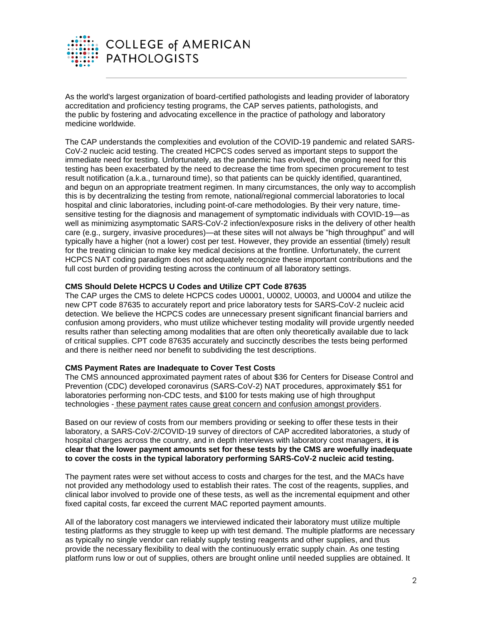

As the world's largest organization of board-certified pathologists and leading provider of laboratory accreditation and proficiency testing programs, the CAP serves patients, pathologists, and the public by fostering and advocating excellence in the practice of pathology and laboratory medicine worldwide.

The CAP understands the complexities and evolution of the COVID-19 pandemic and related SARS-CoV-2 nucleic acid testing. The created HCPCS codes served as important steps to support the immediate need for testing. Unfortunately, as the pandemic has evolved, the ongoing need for this testing has been exacerbated by the need to decrease the time from specimen procurement to test result notification (a.k.a., turnaround time), so that patients can be quickly identified, quarantined, and begun on an appropriate treatment regimen. In many circumstances, the only way to accomplish this is by decentralizing the testing from remote, national/regional commercial laboratories to local hospital and clinic laboratories, including point-of-care methodologies. By their very nature, timesensitive testing for the diagnosis and management of symptomatic individuals with COVID-19—as well as minimizing asymptomatic SARS-CoV-2 infection/exposure risks in the delivery of other health care (e.g., surgery, invasive procedures)—at these sites will not always be "high throughput" and will typically have a higher (not a lower) cost per test. However, they provide an essential (timely) result for the treating clinician to make key medical decisions at the frontline. Unfortunately, the current HCPCS NAT coding paradigm does not adequately recognize these important contributions and the full cost burden of providing testing across the continuum of all laboratory settings.

## **CMS Should Delete HCPCS U Codes and Utilize CPT Code 87635**

The CAP urges the CMS to delete HCPCS codes U0001, U0002, U0003, and U0004 and utilize the new CPT code 87635 to accurately report and price laboratory tests for SARS-CoV-2 nucleic acid detection. We believe the HCPCS codes are unnecessary present significant financial barriers and confusion among providers, who must utilize whichever testing modality will provide urgently needed results rather than selecting among modalities that are often only theoretically available due to lack of critical supplies. CPT code 87635 accurately and succinctly describes the tests being performed and there is neither need nor benefit to subdividing the test descriptions.

## **CMS Payment Rates are Inadequate to Cover Test Costs**

The CMS announced approximated payment rates of about \$36 for Centers for Disease Control and Prevention (CDC) developed coronavirus (SARS-CoV-2) NAT procedures, approximately \$51 for laboratories performing non-CDC tests, and \$100 for tests making use of high throughput technologies - these payment rates cause great concern and confusion amongst providers.

Based on our review of costs from our members providing or seeking to offer these tests in their laboratory, a SARS-CoV-2/COVID-19 survey of directors of CAP accredited laboratories, a study of hospital charges across the country, and in depth interviews with laboratory cost managers, **it is clear that the lower payment amounts set for these tests by the CMS are woefully inadequate to cover the costs in the typical laboratory performing SARS-CoV-2 nucleic acid testing.** 

The payment rates were set without access to costs and charges for the test, and the MACs have not provided any methodology used to establish their rates. The cost of the reagents, supplies, and clinical labor involved to provide one of these tests, as well as the incremental equipment and other fixed capital costs, far exceed the current MAC reported payment amounts.

All of the laboratory cost managers we interviewed indicated their laboratory must utilize multiple testing platforms as they struggle to keep up with test demand. The multiple platforms are necessary as typically no single vendor can reliably supply testing reagents and other supplies, and thus provide the necessary flexibility to deal with the continuously erratic supply chain. As one testing platform runs low or out of supplies, others are brought online until needed supplies are obtained. It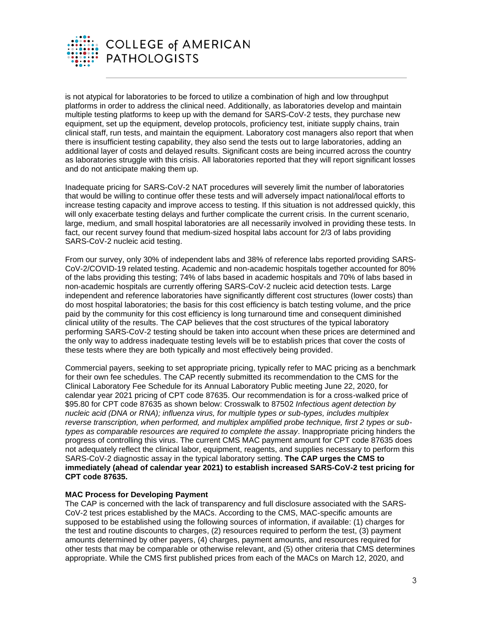

is not atypical for laboratories to be forced to utilize a combination of high and low throughput platforms in order to address the clinical need. Additionally, as laboratories develop and maintain multiple testing platforms to keep up with the demand for SARS-CoV-2 tests, they purchase new equipment, set up the equipment, develop protocols, proficiency test, initiate supply chains, train clinical staff, run tests, and maintain the equipment. Laboratory cost managers also report that when there is insufficient testing capability, they also send the tests out to large laboratories, adding an additional layer of costs and delayed results. Significant costs are being incurred across the country as laboratories struggle with this crisis. All laboratories reported that they will report significant losses and do not anticipate making them up.

Inadequate pricing for SARS-CoV-2 NAT procedures will severely limit the number of laboratories that would be willing to continue offer these tests and will adversely impact national/local efforts to increase testing capacity and improve access to testing. If this situation is not addressed quickly, this will only exacerbate testing delays and further complicate the current crisis. In the current scenario, large, medium, and small hospital laboratories are all necessarily involved in providing these tests. In fact, our recent survey found that medium-sized hospital labs account for 2/3 of labs providing SARS-CoV-2 nucleic acid testing.

From our survey, only 30% of independent labs and 38% of reference labs reported providing SARS-CoV-2/COVID-19 related testing. Academic and non-academic hospitals together accounted for 80% of the labs providing this testing; 74% of labs based in academic hospitals and 70% of labs based in non-academic hospitals are currently offering SARS-CoV-2 nucleic acid detection tests. Large independent and reference laboratories have significantly different cost structures (lower costs) than do most hospital laboratories; the basis for this cost efficiency is batch testing volume, and the price paid by the community for this cost efficiency is long turnaround time and consequent diminished clinical utility of the results. The CAP believes that the cost structures of the typical laboratory performing SARS-CoV-2 testing should be taken into account when these prices are determined and the only way to address inadequate testing levels will be to establish prices that cover the costs of these tests where they are both typically and most effectively being provided.

Commercial payers, seeking to set appropriate pricing, typically refer to MAC pricing as a benchmark for their own fee schedules. The CAP recently submitted its recommendation to the CMS for the Clinical Laboratory Fee Schedule for its Annual Laboratory Public meeting June 22, 2020, for calendar year 2021 pricing of CPT code 87635. Our recommendation is for a cross-walked price of \$95.80 for CPT code 87635 as shown below: Crosswalk to 87502 *Infectious agent detection by nucleic acid (DNA or RNA); influenza virus, for multiple types or sub-types, includes multiplex reverse transcription, when performed, and multiplex amplified probe technique, first 2 types or subtypes as comparable resources are required to complete the assay*. Inappropriate pricing hinders the progress of controlling this virus. The current CMS MAC payment amount for CPT code 87635 does not adequately reflect the clinical labor, equipment, reagents, and supplies necessary to perform this SARS-CoV-2 diagnostic assay in the typical laboratory setting. **The CAP urges the CMS to immediately (ahead of calendar year 2021) to establish increased SARS-CoV-2 test pricing for CPT code 87635.**

## **MAC Process for Developing Payment**

The CAP is concerned with the lack of transparency and full disclosure associated with the SARS-CoV-2 test prices established by the MACs. According to the CMS, MAC-specific amounts are supposed to be established using the following sources of information, if available: (1) charges for the test and routine discounts to charges, (2) resources required to perform the test, (3) payment amounts determined by other payers, (4) charges, payment amounts, and resources required for other tests that may be comparable or otherwise relevant, and (5) other criteria that CMS determines appropriate. While the CMS first published prices from each of the MACs on March 12, 2020, and